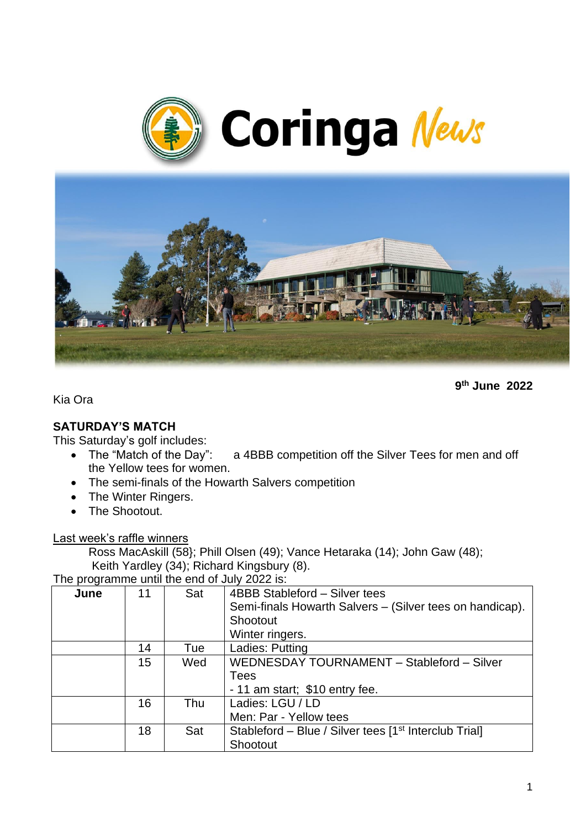



**9 th June 2022**

Kia Ora

# **SATURDAY'S MATCH**

This Saturday's golf includes:

- The "Match of the Day": a 4BBB competition off the Silver Tees for men and off the Yellow tees for women.
- The semi-finals of the Howarth Salvers competition
- The Winter Ringers.
- The Shootout.

Last week's raffle winners

Ross MacAskill (58}; Phill Olsen (49); Vance Hetaraka (14); John Gaw (48); Keith Yardley (34); Richard Kingsbury (8).

The programme until the end of July 2022 is:

|      | $\frac{1}{100}$ programmo antir tho only of our EULL 10. |     |                                                                   |  |  |
|------|----------------------------------------------------------|-----|-------------------------------------------------------------------|--|--|
| June | 11                                                       | Sat | 4BBB Stableford - Silver tees                                     |  |  |
|      |                                                          |     | Semi-finals Howarth Salvers – (Silver tees on handicap).          |  |  |
|      |                                                          |     | Shootout                                                          |  |  |
|      |                                                          |     | Winter ringers.                                                   |  |  |
|      | 14                                                       | Tue | Ladies: Putting                                                   |  |  |
|      | 15                                                       | Wed | WEDNESDAY TOURNAMENT - Stableford - Silver                        |  |  |
|      |                                                          |     | <b>Tees</b>                                                       |  |  |
|      |                                                          |     | - 11 am start; \$10 entry fee.                                    |  |  |
|      | 16                                                       | Thu | Ladies: LGU / LD                                                  |  |  |
|      |                                                          |     | Men: Par - Yellow tees                                            |  |  |
|      | 18                                                       | Sat | Stableford - Blue / Silver tees [1 <sup>st</sup> Interclub Trial] |  |  |
|      |                                                          |     | Shootout                                                          |  |  |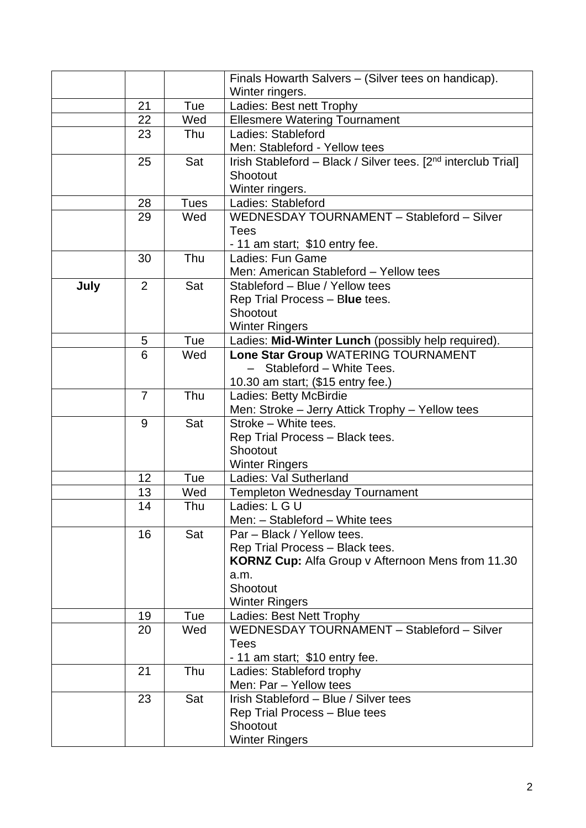|      |    |             | Finals Howarth Salvers - (Silver tees on handicap).                       |
|------|----|-------------|---------------------------------------------------------------------------|
|      |    |             | Winter ringers.                                                           |
|      | 21 | Tue         | Ladies: Best nett Trophy                                                  |
|      | 22 | Wed         | <b>Ellesmere Watering Tournament</b>                                      |
|      | 23 | Thu         | Ladies: Stableford                                                        |
|      |    |             | Men: Stableford - Yellow tees                                             |
|      | 25 | Sat         | Irish Stableford - Black / Silver tees. [2 <sup>nd</sup> interclub Trial] |
|      |    |             | Shootout                                                                  |
|      |    |             | Winter ringers.                                                           |
|      | 28 | <b>Tues</b> | Ladies: Stableford                                                        |
|      | 29 | Wed         | WEDNESDAY TOURNAMENT - Stableford - Silver                                |
|      |    |             | <b>Tees</b>                                                               |
|      |    |             | - 11 am start; \$10 entry fee.                                            |
|      | 30 | Thu         | Ladies: Fun Game                                                          |
|      |    |             | Men: American Stableford - Yellow tees                                    |
| July | 2  | Sat         | Stableford - Blue / Yellow tees                                           |
|      |    |             | Rep Trial Process - Blue tees.                                            |
|      |    |             | Shootout                                                                  |
|      |    |             | <b>Winter Ringers</b>                                                     |
|      | 5  | Tue         | Ladies: Mid-Winter Lunch (possibly help required).                        |
|      | 6  | Wed         | Lone Star Group WATERING TOURNAMENT                                       |
|      |    |             | Stableford - White Tees.                                                  |
|      |    |             | 10.30 am start; (\$15 entry fee.)                                         |
|      | 7  | Thu         | Ladies: Betty McBirdie                                                    |
|      |    |             | Men: Stroke - Jerry Attick Trophy - Yellow tees                           |
|      | 9  | Sat         | Stroke - White tees.                                                      |
|      |    |             | Rep Trial Process - Black tees.<br>Shootout                               |
|      |    |             | <b>Winter Ringers</b>                                                     |
|      | 12 | Tue         | Ladies: Val Sutherland                                                    |
|      | 13 | Wed         | <b>Templeton Wednesday Tournament</b>                                     |
|      | 14 | Thu         | Ladies: L G U                                                             |
|      |    |             | Men: - Stableford - White tees                                            |
|      | 16 | Sat         | Par - Black / Yellow tees.                                                |
|      |    |             | Rep Trial Process - Black tees.                                           |
|      |    |             | KORNZ Cup: Alfa Group v Afternoon Mens from 11.30                         |
|      |    |             | a.m.                                                                      |
|      |    |             | Shootout                                                                  |
|      |    |             | <b>Winter Ringers</b>                                                     |
|      | 19 | Tue         | Ladies: Best Nett Trophy                                                  |
|      | 20 | Wed         | WEDNESDAY TOURNAMENT - Stableford - Silver                                |
|      |    |             | <b>Tees</b>                                                               |
|      |    |             | - 11 am start; \$10 entry fee.                                            |
|      | 21 | Thu         | Ladies: Stableford trophy                                                 |
|      |    |             | Men: Par - Yellow tees                                                    |
|      | 23 | Sat         | Irish Stableford - Blue / Silver tees                                     |
|      |    |             | Rep Trial Process - Blue tees                                             |
|      |    |             | Shootout                                                                  |
|      |    |             | <b>Winter Ringers</b>                                                     |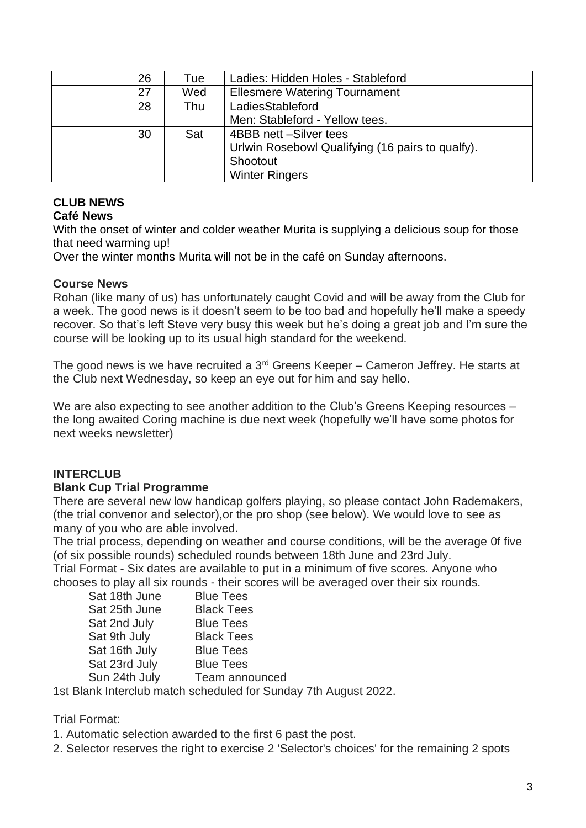| 26 | Tue | Ladies: Hidden Holes - Stableford                |  |
|----|-----|--------------------------------------------------|--|
| 27 | Wed | <b>Ellesmere Watering Tournament</b>             |  |
| 28 | Thu | LadiesStableford                                 |  |
|    |     | Men: Stableford - Yellow tees.                   |  |
| 30 | Sat | 4BBB nett -Silver tees                           |  |
|    |     | Urlwin Rosebowl Qualifying (16 pairs to qualfy). |  |
|    |     | Shootout                                         |  |
|    |     | <b>Winter Ringers</b>                            |  |

# **CLUB NEWS**

### **Café News**

With the onset of winter and colder weather Murita is supplying a delicious soup for those that need warming up!

Over the winter months Murita will not be in the café on Sunday afternoons.

### **Course News**

Rohan (like many of us) has unfortunately caught Covid and will be away from the Club for a week. The good news is it doesn't seem to be too bad and hopefully he'll make a speedy recover. So that's left Steve very busy this week but he's doing a great job and I'm sure the course will be looking up to its usual high standard for the weekend.

The good news is we have recruited a 3rd Greens Keeper – Cameron Jeffrey. He starts at the Club next Wednesday, so keep an eye out for him and say hello.

We are also expecting to see another addition to the Club's Greens Keeping resources – the long awaited Coring machine is due next week (hopefully we'll have some photos for next weeks newsletter)

### **INTERCLUB**

### **Blank Cup Trial Programme**

There are several new low handicap golfers playing, so please contact John Rademakers, (the trial convenor and selector),or the pro shop (see below). We would love to see as many of you who are able involved.

The trial process, depending on weather and course conditions, will be the average 0f five (of six possible rounds) scheduled rounds between 18th June and 23rd July.

Trial Format - Six dates are available to put in a minimum of five scores. Anyone who chooses to play all six rounds - their scores will be averaged over their six rounds.

| Sat 18th June | <b>Blue Tees</b>  |
|---------------|-------------------|
| Sat 25th June | <b>Black Tees</b> |
| Sat 2nd July  | <b>Blue Tees</b>  |
| Sat 9th July  | <b>Black Tees</b> |
| Sat 16th July | <b>Blue Tees</b>  |
| Sat 23rd July | <b>Blue Tees</b>  |
| Sun 24th July | Team announced    |
|               |                   |

1st Blank Interclub match scheduled for Sunday 7th August 2022.

Trial Format:

1. Automatic selection awarded to the first 6 past the post.

2. Selector reserves the right to exercise 2 'Selector's choices' for the remaining 2 spots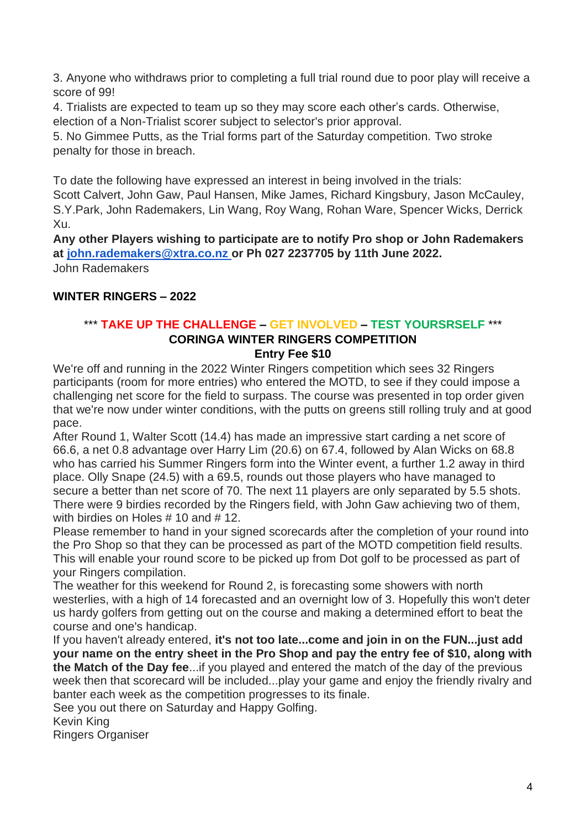3. Anyone who withdraws prior to completing a full trial round due to poor play will receive a score of 99!

4. Trialists are expected to team up so they may score each other's cards. Otherwise, election of a Non-Trialist scorer subject to selector's prior approval.

5. No Gimmee Putts, as the Trial forms part of the Saturday competition. Two stroke penalty for those in breach.

To date the following have expressed an interest in being involved in the trials:

Scott Calvert, John Gaw, Paul Hansen, Mike James, Richard Kingsbury, Jason McCauley, S.Y.Park, John Rademakers, Lin Wang, Roy Wang, Rohan Ware, Spencer Wicks, Derrick Xu.

**Any other Players wishing to participate are to notify Pro shop or John Rademakers at [john.rademakers@xtra.co.nz](mailto:john.rademakers@xtra.co.nz) or Ph 027 2237705 by 11th June 2022.** John Rademakers

### **WINTER RINGERS – 2022**

# \*\*\* **TAKE UP THE CHALLENGE – GET INVOLVED – TEST YOURSRSELF** \*\*\* **CORINGA WINTER RINGERS COMPETITION**

#### **Entry Fee \$10**

We're off and running in the 2022 Winter Ringers competition which sees 32 Ringers participants (room for more entries) who entered the MOTD, to see if they could impose a challenging net score for the field to surpass. The course was presented in top order given that we're now under winter conditions, with the putts on greens still rolling truly and at good pace.

After Round 1, Walter Scott (14.4) has made an impressive start carding a net score of 66.6, a net 0.8 advantage over Harry Lim (20.6) on 67.4, followed by Alan Wicks on 68.8 who has carried his Summer Ringers form into the Winter event, a further 1.2 away in third place. Olly Snape (24.5) with a 69.5, rounds out those players who have managed to secure a better than net score of 70. The next 11 players are only separated by 5.5 shots. There were 9 birdies recorded by the Ringers field, with John Gaw achieving two of them, with birdies on Holes # 10 and # 12.

Please remember to hand in your signed scorecards after the completion of your round into the Pro Shop so that they can be processed as part of the MOTD competition field results. This will enable your round score to be picked up from Dot golf to be processed as part of your Ringers compilation.

The weather for this weekend for Round 2, is forecasting some showers with north westerlies, with a high of 14 forecasted and an overnight low of 3. Hopefully this won't deter us hardy golfers from getting out on the course and making a determined effort to beat the course and one's handicap.

If you haven't already entered, **it's not too late...come and join in on the FUN...just add your name on the entry sheet in the Pro Shop and pay the entry fee of \$10, along with the Match of the Day fee**...if you played and entered the match of the day of the previous week then that scorecard will be included...play your game and enjoy the friendly rivalry and banter each week as the competition progresses to its finale.

See you out there on Saturday and Happy Golfing.

Kevin King

Ringers Organiser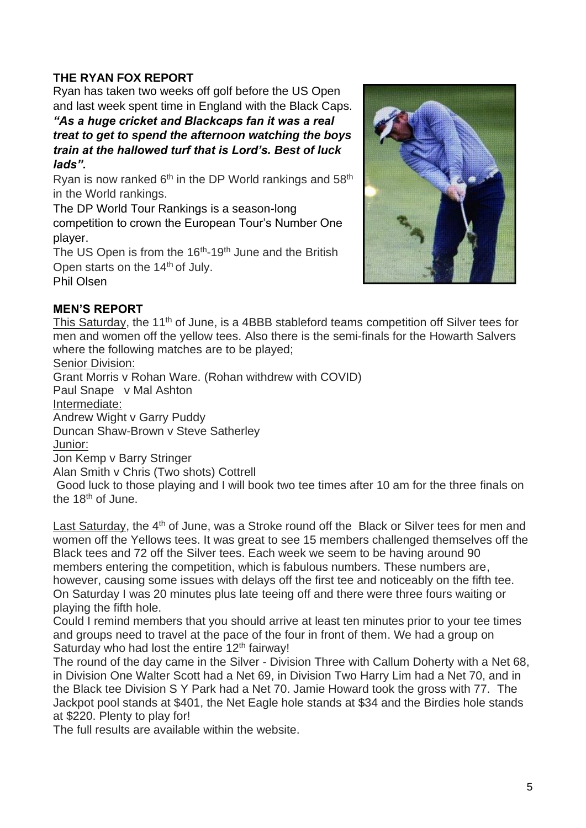# **THE RYAN FOX REPORT**

Ryan has taken two weeks off golf before the US Open and last week spent time in England with the Black Caps.

*"As a huge cricket and Blackcaps fan it was a real treat to get to spend the afternoon watching the boys train at the hallowed turf that is Lord's. Best of luck lads".*

Ryan is now ranked  $6<sup>th</sup>$  in the DP World rankings and  $58<sup>th</sup>$ in the World rankings.

The DP World Tour Rankings is a season-long

competition to crown the European Tour's Number One player.

The US Open is from the  $16<sup>th</sup>$ -19<sup>th</sup> June and the British Open starts on the 14<sup>th</sup> of July.

Phil Olsen



### **MEN'S REPORT**

This Saturday, the 11<sup>th</sup> of June, is a 4BBB stableford teams competition off Silver tees for men and women off the yellow tees. Also there is the semi-finals for the Howarth Salvers where the following matches are to be played;

Senior Division:

Grant Morris v Rohan Ware. (Rohan withdrew with COVID)

Paul Snape v Mal Ashton

Intermediate:

Andrew Wight v Garry Puddy

Duncan Shaw-Brown v Steve Satherley

Junior:

Jon Kemp v Barry Stringer

Alan Smith v Chris (Two shots) Cottrell

Good luck to those playing and I will book two tee times after 10 am for the three finals on the  $18<sup>th</sup>$  of June.

Last Saturday, the  $4<sup>th</sup>$  of June, was a Stroke round off the Black or Silver tees for men and women off the Yellows tees. It was great to see 15 members challenged themselves off the Black tees and 72 off the Silver tees. Each week we seem to be having around 90 members entering the competition, which is fabulous numbers. These numbers are, however, causing some issues with delays off the first tee and noticeably on the fifth tee. On Saturday I was 20 minutes plus late teeing off and there were three fours waiting or playing the fifth hole.

Could I remind members that you should arrive at least ten minutes prior to your tee times and groups need to travel at the pace of the four in front of them. We had a group on Saturday who had lost the entire 12<sup>th</sup> fairway!

The round of the day came in the Silver - Division Three with Callum Doherty with a Net 68, in Division One Walter Scott had a Net 69, in Division Two Harry Lim had a Net 70, and in the Black tee Division S Y Park had a Net 70. Jamie Howard took the gross with 77. The Jackpot pool stands at \$401, the Net Eagle hole stands at \$34 and the Birdies hole stands at \$220. Plenty to play for!

The full results are available within the website.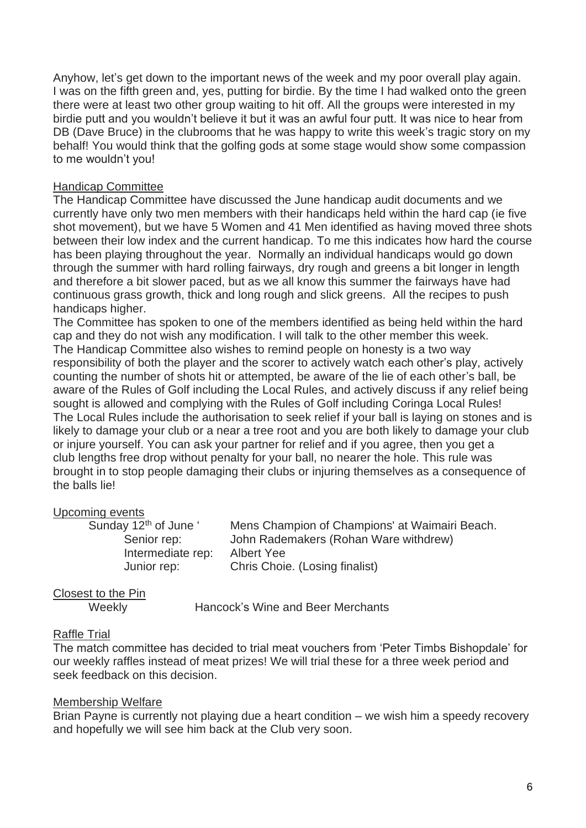Anyhow, let's get down to the important news of the week and my poor overall play again. I was on the fifth green and, yes, putting for birdie. By the time I had walked onto the green there were at least two other group waiting to hit off. All the groups were interested in my birdie putt and you wouldn't believe it but it was an awful four putt. It was nice to hear from DB (Dave Bruce) in the clubrooms that he was happy to write this week's tragic story on my behalf! You would think that the golfing gods at some stage would show some compassion to me wouldn't you!

#### Handicap Committee

The Handicap Committee have discussed the June handicap audit documents and we currently have only two men members with their handicaps held within the hard cap (ie five shot movement), but we have 5 Women and 41 Men identified as having moved three shots between their low index and the current handicap. To me this indicates how hard the course has been playing throughout the year. Normally an individual handicaps would go down through the summer with hard rolling fairways, dry rough and greens a bit longer in length and therefore a bit slower paced, but as we all know this summer the fairways have had continuous grass growth, thick and long rough and slick greens. All the recipes to push handicaps higher.

The Committee has spoken to one of the members identified as being held within the hard cap and they do not wish any modification. I will talk to the other member this week. The Handicap Committee also wishes to remind people on honesty is a two way responsibility of both the player and the scorer to actively watch each other's play, actively counting the number of shots hit or attempted, be aware of the lie of each other's ball, be aware of the Rules of Golf including the Local Rules, and actively discuss if any relief being sought is allowed and complying with the Rules of Golf including Coringa Local Rules! The Local Rules include the authorisation to seek relief if your ball is laying on stones and is likely to damage your club or a near a tree root and you are both likely to damage your club or injure yourself. You can ask your partner for relief and if you agree, then you get a club lengths free drop without penalty for your ball, no nearer the hole. This rule was brought in to stop people damaging their clubs or injuring themselves as a consequence of the balls lie!

#### Upcoming events

Intermediate rep: Albert Yee

Sunday 12<sup>th</sup> of June ' Mens Champion of Champions' at Waimairi Beach. Senior rep: John Rademakers (Rohan Ware withdrew) Junior rep: Chris Choie. (Losing finalist)

Closest to the Pin

Weekly Hancock's Wine and Beer Merchants

#### Raffle Trial

The match committee has decided to trial meat vouchers from 'Peter Timbs Bishopdale' for our weekly raffles instead of meat prizes! We will trial these for a three week period and seek feedback on this decision.

#### Membership Welfare

Brian Payne is currently not playing due a heart condition – we wish him a speedy recovery and hopefully we will see him back at the Club very soon.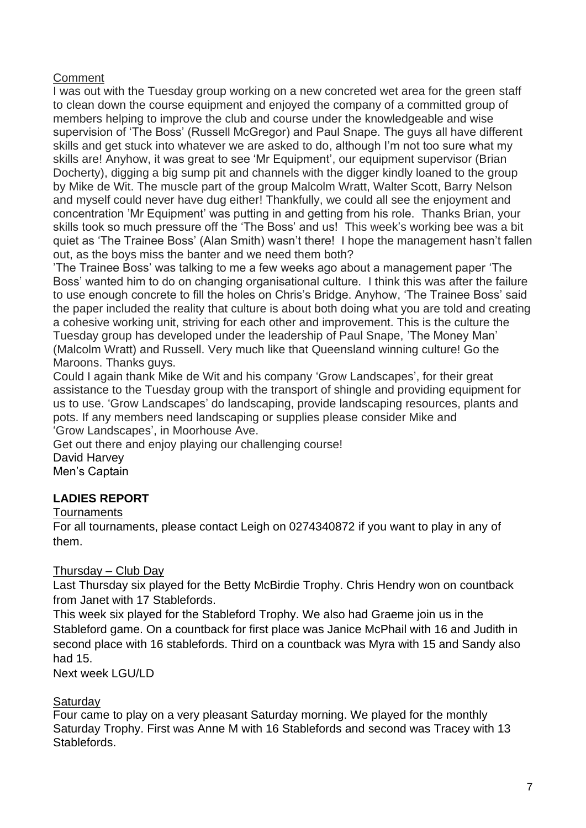### **Comment**

I was out with the Tuesday group working on a new concreted wet area for the green staff to clean down the course equipment and enjoyed the company of a committed group of members helping to improve the club and course under the knowledgeable and wise supervision of 'The Boss' (Russell McGregor) and Paul Snape. The guys all have different skills and get stuck into whatever we are asked to do, although I'm not too sure what my skills are! Anyhow, it was great to see 'Mr Equipment', our equipment supervisor (Brian Docherty), digging a big sump pit and channels with the digger kindly loaned to the group by Mike de Wit. The muscle part of the group Malcolm Wratt, Walter Scott, Barry Nelson and myself could never have dug either! Thankfully, we could all see the enjoyment and concentration 'Mr Equipment' was putting in and getting from his role. Thanks Brian, your skills took so much pressure off the 'The Boss' and us! This week's working bee was a bit quiet as 'The Trainee Boss' (Alan Smith) wasn't there! I hope the management hasn't fallen out, as the boys miss the banter and we need them both?

'The Trainee Boss' was talking to me a few weeks ago about a management paper 'The Boss' wanted him to do on changing organisational culture. I think this was after the failure to use enough concrete to fill the holes on Chris's Bridge. Anyhow, 'The Trainee Boss' said the paper included the reality that culture is about both doing what you are told and creating a cohesive working unit, striving for each other and improvement. This is the culture the Tuesday group has developed under the leadership of Paul Snape, 'The Money Man' (Malcolm Wratt) and Russell. Very much like that Queensland winning culture! Go the Maroons. Thanks guys.

Could I again thank Mike de Wit and his company 'Grow Landscapes', for their great assistance to the Tuesday group with the transport of shingle and providing equipment for us to use. 'Grow Landscapes' do landscaping, provide landscaping resources, plants and pots. If any members need landscaping or supplies please consider Mike and 'Grow Landscapes', in Moorhouse Ave.

Get out there and enjoy playing our challenging course!

David Harvey Men's Captain

# **LADIES REPORT**

### **Tournaments**

For all tournaments, please contact Leigh on 0274340872 if you want to play in any of them.

### Thursday – Club Day

Last Thursday six played for the Betty McBirdie Trophy. Chris Hendry won on countback from Janet with 17 Stablefords.

This week six played for the Stableford Trophy. We also had Graeme join us in the Stableford game. On a countback for first place was Janice McPhail with 16 and Judith in second place with 16 stablefords. Third on a countback was Myra with 15 and Sandy also had 15.

Next week LGU/LD

#### **Saturday**

Four came to play on a very pleasant Saturday morning. We played for the monthly Saturday Trophy. First was Anne M with 16 Stablefords and second was Tracey with 13 Stablefords.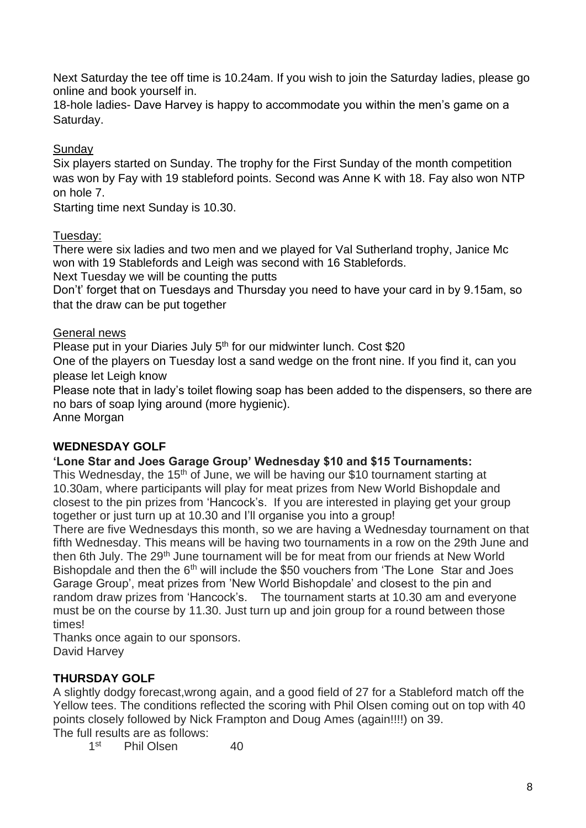Next Saturday the tee off time is 10.24am. If you wish to join the Saturday ladies, please go online and book yourself in.

18-hole ladies- Dave Harvey is happy to accommodate you within the men's game on a Saturday.

## **Sundav**

Six players started on Sunday. The trophy for the First Sunday of the month competition was won by Fay with 19 stableford points. Second was Anne K with 18. Fay also won NTP on hole 7.

Starting time next Sunday is 10.30.

### Tuesday:

There were six ladies and two men and we played for Val Sutherland trophy, Janice Mc won with 19 Stablefords and Leigh was second with 16 Stablefords.

Next Tuesday we will be counting the putts

Don't' forget that on Tuesdays and Thursday you need to have your card in by 9.15am, so that the draw can be put together

### General news

Please put in your Diaries July 5<sup>th</sup> for our midwinter lunch. Cost \$20

One of the players on Tuesday lost a sand wedge on the front nine. If you find it, can you please let Leigh know

Please note that in lady's toilet flowing soap has been added to the dispensers, so there are no bars of soap lying around (more hygienic).

Anne Morgan

### **WEDNESDAY GOLF**

### **'Lone Star and Joes Garage Group' Wednesday \$10 and \$15 Tournaments:**

This Wednesday, the 15<sup>th</sup> of June, we will be having our \$10 tournament starting at 10.30am, where participants will play for meat prizes from New World Bishopdale and closest to the pin prizes from 'Hancock's. If you are interested in playing get your group together or just turn up at 10.30 and I'll organise you into a group!

There are five Wednesdays this month, so we are having a Wednesday tournament on that fifth Wednesday. This means will be having two tournaments in a row on the 29th June and then 6th July. The 29<sup>th</sup> June tournament will be for meat from our friends at New World Bishopdale and then the 6<sup>th</sup> will include the \$50 vouchers from 'The Lone Star and Joes Garage Group', meat prizes from 'New World Bishopdale' and closest to the pin and random draw prizes from 'Hancock's. The tournament starts at 10.30 am and everyone must be on the course by 11.30. Just turn up and join group for a round between those times!

Thanks once again to our sponsors. David Harvey

### **THURSDAY GOLF**

A slightly dodgy forecast,wrong again, and a good field of 27 for a Stableford match off the Yellow tees. The conditions reflected the scoring with Phil Olsen coming out on top with 40 points closely followed by Nick Frampton and Doug Ames (again!!!!) on 39. The full results are as follows:

 $1<sup>st</sup>$ Phil Olsen 40